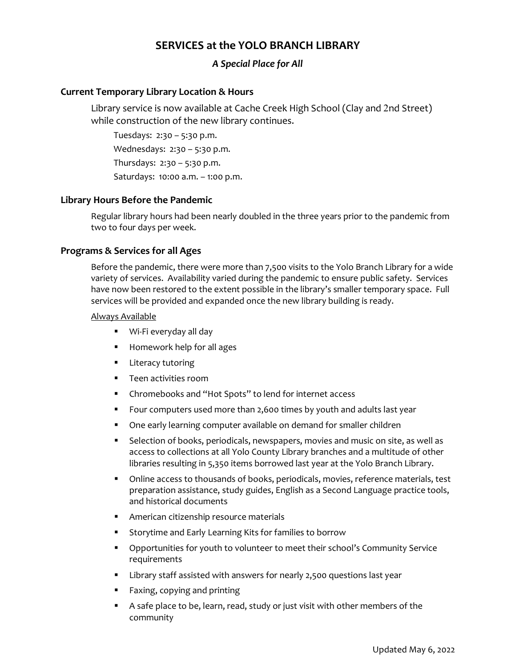# **SERVICES at the YOLO BRANCH LIBRARY**

# *A Special Place for All*

## **Current Temporary Library Location & Hours**

Library service is now available at Cache Creek High School (Clay and 2nd Street) while construction of the new library continues.

Tuesdays: 2:30 – 5:30 p.m. Wednesdays: 2:30 - 5:30 p.m. Thursdays: 2:30 – 5:30 p.m. Saturdays: 10:00 a.m. – 1:00 p.m.

# **Library Hours Before the Pandemic**

Regular library hours had been nearly doubled in the three years prior to the pandemic from two to four days per week.

### **Programs & Services for all Ages**

Before the pandemic, there were more than 7,500 visits to the Yolo Branch Library for a wide variety of services. Availability varied during the pandemic to ensure public safety. Services have now been restored to the extent possible in the library's smaller temporary space. Full services will be provided and expanded once the new library building is ready.

#### Always Available

- Wi-Fi everyday all day
- **Homework help for all ages**
- **E** Literacy tutoring
- **Teen activities room**
- Chromebooks and "Hot Spots" to lend for internet access
- Four computers used more than 2,600 times by youth and adults last year
- One early learning computer available on demand for smaller children
- Selection of books, periodicals, newspapers, movies and music on site, as well as access to collections at all Yolo County Library branches and a multitude of other libraries resulting in 5,350 items borrowed last year at the Yolo Branch Library.
- Online access to thousands of books, periodicals, movies, reference materials, test preparation assistance, study guides, English as a Second Language practice tools, and historical documents
- **American citizenship resource materials**
- Storytime and Early Learning Kits for families to borrow
- Opportunities for youth to volunteer to meet their school's Community Service requirements
- **EXED 1** Library staff assisted with answers for nearly 2,500 questions last year
- Faxing, copying and printing
- A safe place to be, learn, read, study or just visit with other members of the community